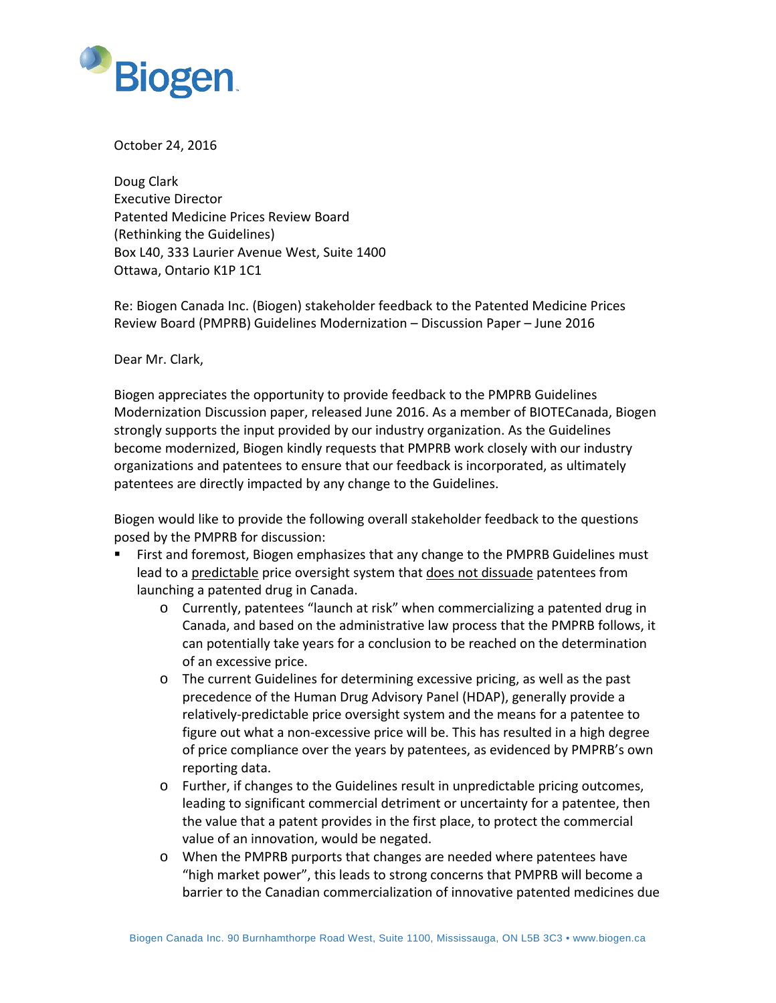

October 24, 2016

Doug Clark Executive Director Patented Medicine Prices Review Board (Rethinking the Guidelines) Box L40, 333 Laurier Avenue West, Suite 1400 Ottawa, Ontario K1P 1C1

Re: Biogen Canada Inc. (Biogen) stakeholder feedback to the Patented Medicine Prices Review Board (PMPRB) Guidelines Modernization – Discussion Paper – June 2016

Dear Mr. Clark,

Biogen appreciates the opportunity to provide feedback to the PMPRB Guidelines Modernization Discussion paper, released June 2016. As a member of BIOTECanada, Biogen strongly supports the input provided by our industry organization. As the Guidelines become modernized, Biogen kindly requests that PMPRB work closely with our industry organizations and patentees to ensure that our feedback is incorporated, as ultimately patentees are directly impacted by any change to the Guidelines.

Biogen would like to provide the following overall stakeholder feedback to the questions posed by the PMPRB for discussion:

- First and foremost, Biogen emphasizes that any change to the PMPRB Guidelines must lead to a predictable price oversight system that does not dissuade patentees from launching a patented drug in Canada.
	- o Currently, patentees "launch at risk" when commercializing a patented drug in Canada, and based on the administrative law process that the PMPRB follows, it can potentially take years for a conclusion to be reached on the determination of an excessive price.
	- o The current Guidelines for determining excessive pricing, as well as the past precedence of the Human Drug Advisory Panel (HDAP), generally provide a relatively-predictable price oversight system and the means for a patentee to figure out what a non-excessive price will be. This has resulted in a high degree of price compliance over the years by patentees, as evidenced by PMPRB's own reporting data.
	- o Further, if changes to the Guidelines result in unpredictable pricing outcomes, leading to significant commercial detriment or uncertainty for a patentee, then the value that a patent provides in the first place, to protect the commercial value of an innovation, would be negated.
	- o When the PMPRB purports that changes are needed where patentees have "high market power", this leads to strong concerns that PMPRB will become a barrier to the Canadian commercialization of innovative patented medicines due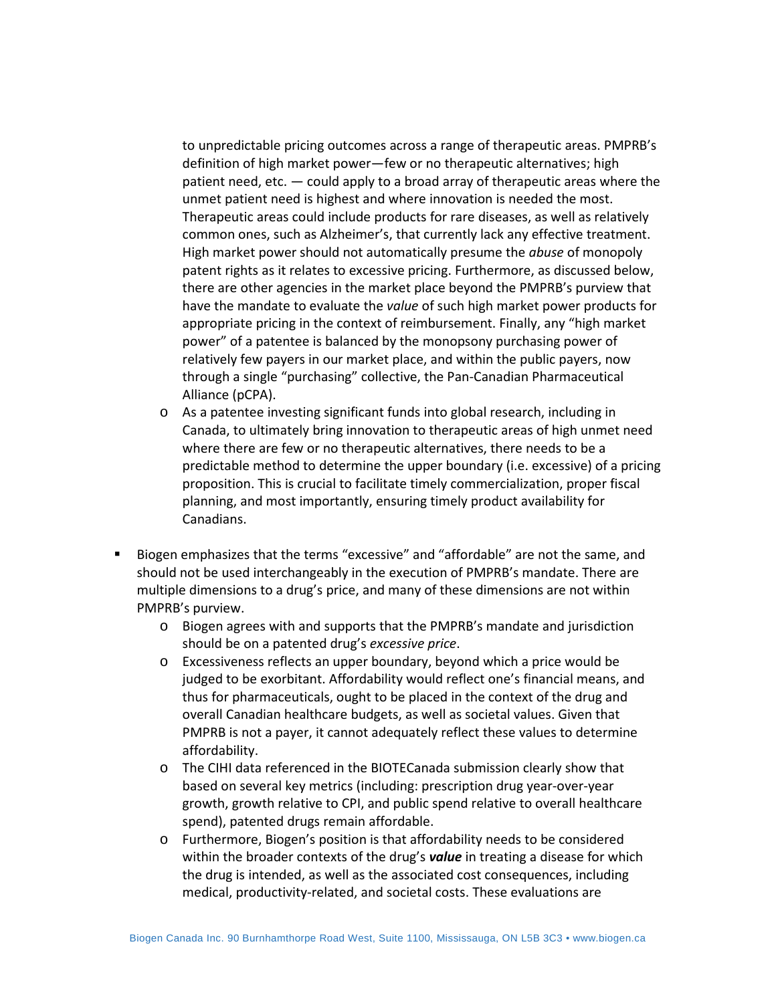to unpredictable pricing outcomes across a range of therapeutic areas. PMPRB's definition of high market power—few or no therapeutic alternatives; high patient need, etc. — could apply to a broad array of therapeutic areas where the unmet patient need is highest and where innovation is needed the most. Therapeutic areas could include products for rare diseases, as well as relatively common ones, such as Alzheimer's, that currently lack any effective treatment. High market power should not automatically presume the *abuse* of monopoly patent rights as it relates to excessive pricing. Furthermore, as discussed below, there are other agencies in the market place beyond the PMPRB's purview that have the mandate to evaluate the *value* of such high market power products for appropriate pricing in the context of reimbursement. Finally, any "high market power" of a patentee is balanced by the monopsony purchasing power of relatively few payers in our market place, and within the public payers, now through a single "purchasing" collective, the Pan-Canadian Pharmaceutical Alliance (pCPA).

- o As a patentee investing significant funds into global research, including in Canada, to ultimately bring innovation to therapeutic areas of high unmet need where there are few or no therapeutic alternatives, there needs to be a predictable method to determine the upper boundary (i.e. excessive) of a pricing proposition. This is crucial to facilitate timely commercialization, proper fiscal planning, and most importantly, ensuring timely product availability for Canadians.
- Biogen emphasizes that the terms "excessive" and "affordable" are not the same, and should not be used interchangeably in the execution of PMPRB's mandate. There are multiple dimensions to a drug's price, and many of these dimensions are not within PMPRB's purview.
	- o Biogen agrees with and supports that the PMPRB's mandate and jurisdiction should be on a patented drug's *excessive price*.
	- o Excessiveness reflects an upper boundary, beyond which a price would be judged to be exorbitant. Affordability would reflect one's financial means, and thus for pharmaceuticals, ought to be placed in the context of the drug and overall Canadian healthcare budgets, as well as societal values. Given that PMPRB is not a payer, it cannot adequately reflect these values to determine affordability.
	- o The CIHI data referenced in the BIOTECanada submission clearly show that based on several key metrics (including: prescription drug year-over-year growth, growth relative to CPI, and public spend relative to overall healthcare spend), patented drugs remain affordable.
	- o Furthermore, Biogen's position is that affordability needs to be considered within the broader contexts of the drug's *value* in treating a disease for which the drug is intended, as well as the associated cost consequences, including medical, productivity-related, and societal costs. These evaluations are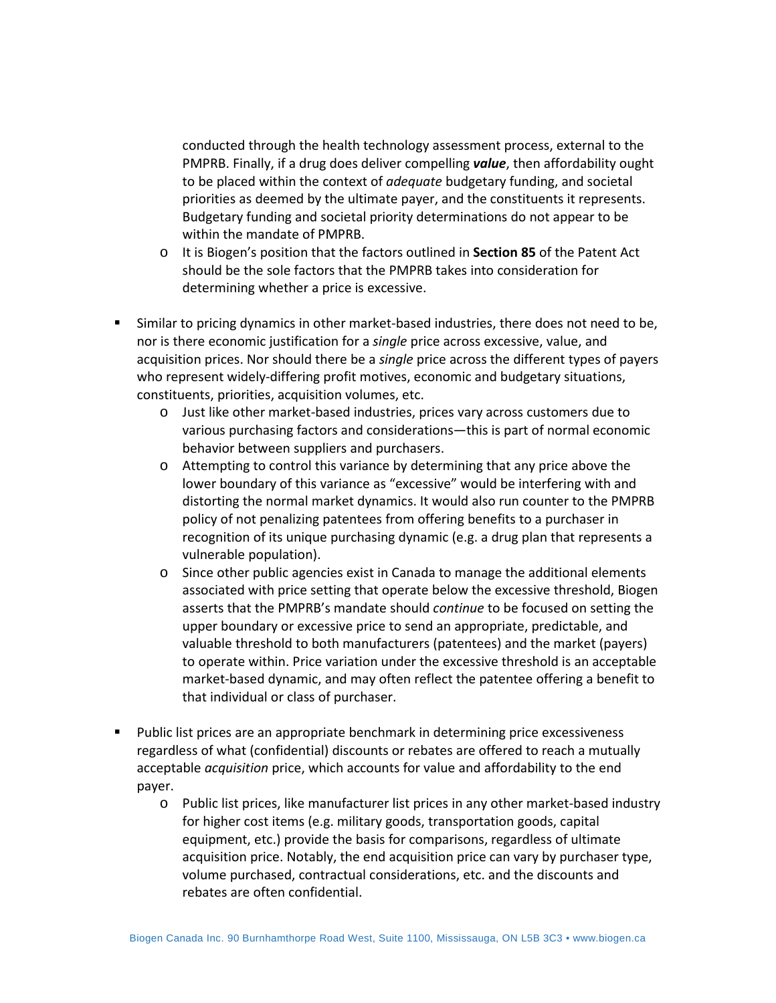conducted through the health technology assessment process, external to the PMPRB. Finally, if a drug does deliver compelling *value*, then affordability ought to be placed within the context of *adequate* budgetary funding, and societal priorities as deemed by the ultimate payer, and the constituents it represents. Budgetary funding and societal priority determinations do not appear to be within the mandate of PMPRB.

- o It is Biogen's position that the factors outlined in **Section 85** of the Patent Act should be the sole factors that the PMPRB takes into consideration for determining whether a price is excessive.
- Similar to pricing dynamics in other market-based industries, there does not need to be, nor is there economic justification for a *single* price across excessive, value, and acquisition prices. Nor should there be a *single* price across the different types of payers who represent widely-differing profit motives, economic and budgetary situations, constituents, priorities, acquisition volumes, etc.
	- o Just like other market-based industries, prices vary across customers due to various purchasing factors and considerations—this is part of normal economic behavior between suppliers and purchasers.
	- o Attempting to control this variance by determining that any price above the lower boundary of this variance as "excessive" would be interfering with and distorting the normal market dynamics. It would also run counter to the PMPRB policy of not penalizing patentees from offering benefits to a purchaser in recognition of its unique purchasing dynamic (e.g. a drug plan that represents a vulnerable population).
	- o Since other public agencies exist in Canada to manage the additional elements associated with price setting that operate below the excessive threshold, Biogen asserts that the PMPRB's mandate should *continue* to be focused on setting the upper boundary or excessive price to send an appropriate, predictable, and valuable threshold to both manufacturers (patentees) and the market (payers) to operate within. Price variation under the excessive threshold is an acceptable market-based dynamic, and may often reflect the patentee offering a benefit to that individual or class of purchaser.
- Public list prices are an appropriate benchmark in determining price excessiveness regardless of what (confidential) discounts or rebates are offered to reach a mutually acceptable *acquisition* price, which accounts for value and affordability to the end payer.
	- o Public list prices, like manufacturer list prices in any other market-based industry for higher cost items (e.g. military goods, transportation goods, capital equipment, etc.) provide the basis for comparisons, regardless of ultimate acquisition price. Notably, the end acquisition price can vary by purchaser type, volume purchased, contractual considerations, etc. and the discounts and rebates are often confidential.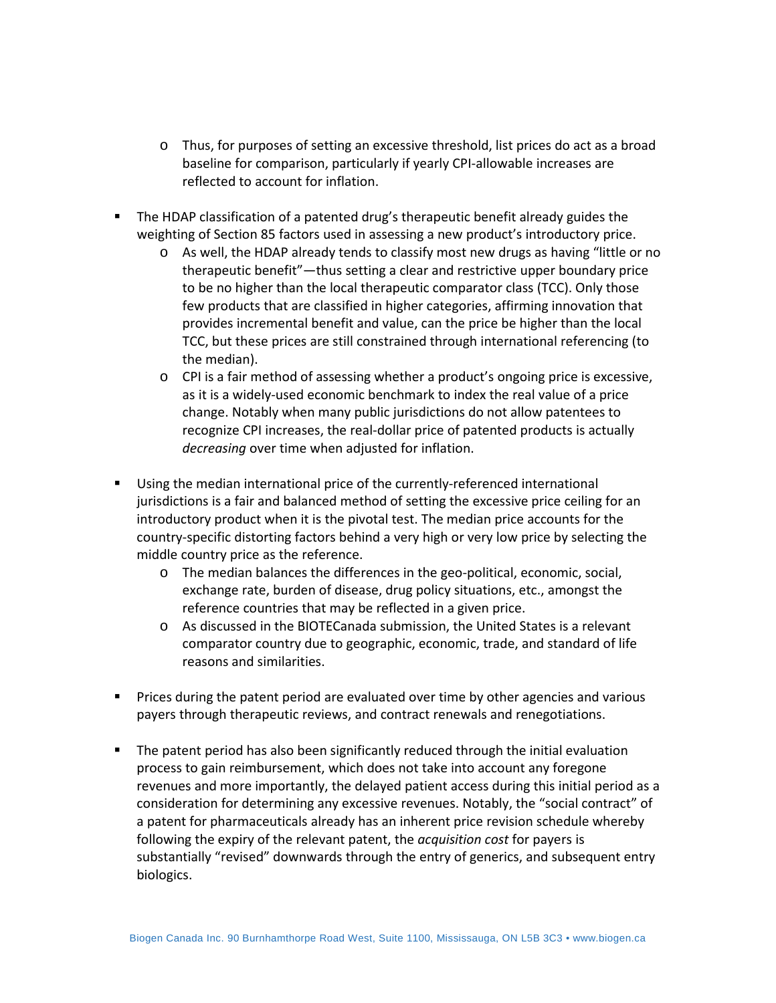- o Thus, for purposes of setting an excessive threshold, list prices do act as a broad baseline for comparison, particularly if yearly CPI-allowable increases are reflected to account for inflation.
- The HDAP classification of a patented drug's therapeutic benefit already guides the weighting of Section 85 factors used in assessing a new product's introductory price.
	- o As well, the HDAP already tends to classify most new drugs as having "little or no therapeutic benefit"—thus setting a clear and restrictive upper boundary price to be no higher than the local therapeutic comparator class (TCC). Only those few products that are classified in higher categories, affirming innovation that provides incremental benefit and value, can the price be higher than the local TCC, but these prices are still constrained through international referencing (to the median).
	- o CPI is a fair method of assessing whether a product's ongoing price is excessive, as it is a widely-used economic benchmark to index the real value of a price change. Notably when many public jurisdictions do not allow patentees to recognize CPI increases, the real-dollar price of patented products is actually *decreasing* over time when adjusted for inflation.
- Using the median international price of the currently-referenced international jurisdictions is a fair and balanced method of setting the excessive price ceiling for an introductory product when it is the pivotal test. The median price accounts for the country-specific distorting factors behind a very high or very low price by selecting the middle country price as the reference.
	- o The median balances the differences in the geo-political, economic, social, exchange rate, burden of disease, drug policy situations, etc., amongst the reference countries that may be reflected in a given price.
	- o As discussed in the BIOTECanada submission, the United States is a relevant comparator country due to geographic, economic, trade, and standard of life reasons and similarities.
- **Prices during the patent period are evaluated over time by other agencies and various** payers through therapeutic reviews, and contract renewals and renegotiations.
- **The patent period has also been significantly reduced through the initial evaluation** process to gain reimbursement, which does not take into account any foregone revenues and more importantly, the delayed patient access during this initial period as a consideration for determining any excessive revenues. Notably, the "social contract" of a patent for pharmaceuticals already has an inherent price revision schedule whereby following the expiry of the relevant patent, the *acquisition cost* for payers is substantially "revised" downwards through the entry of generics, and subsequent entry biologics.